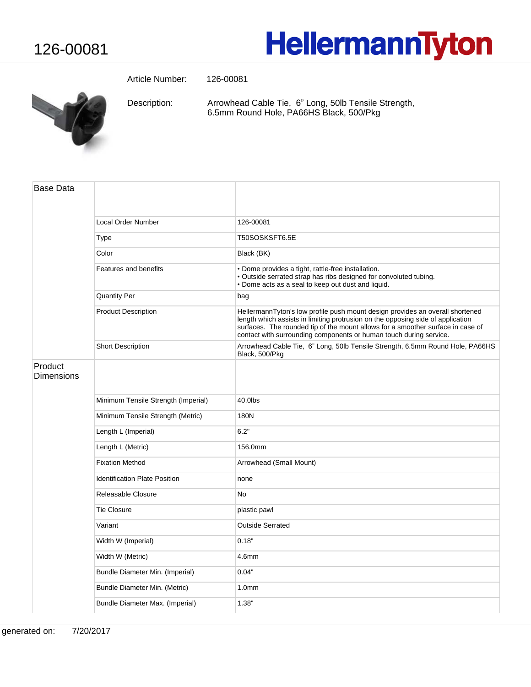## **HellermannTyton**

Article Number: 126-00081



Arrowhead Cable Tie, 6" Long, 50lb Tensile Strength, 6.5mm Round Hole, PA66HS Black, 500/Pkg Description:

| <b>Base Data</b>      |                                      |                                                                                                                                                                                                                                                                                                                           |
|-----------------------|--------------------------------------|---------------------------------------------------------------------------------------------------------------------------------------------------------------------------------------------------------------------------------------------------------------------------------------------------------------------------|
|                       | <b>Local Order Number</b>            | 126-00081                                                                                                                                                                                                                                                                                                                 |
|                       | Type                                 | T50SOSKSFT6.5E                                                                                                                                                                                                                                                                                                            |
|                       | Color                                | Black (BK)                                                                                                                                                                                                                                                                                                                |
|                       | Features and benefits                | · Dome provides a tight, rattle-free installation.<br>• Outside serrated strap has ribs designed for convoluted tubing.<br>• Dome acts as a seal to keep out dust and liquid.                                                                                                                                             |
|                       | <b>Quantity Per</b>                  | bag                                                                                                                                                                                                                                                                                                                       |
|                       | <b>Product Description</b>           | HellermannTyton's low profile push mount design provides an overall shortened<br>length which assists in limiting protrusion on the opposing side of application<br>surfaces. The rounded tip of the mount allows for a smoother surface in case of<br>contact with surrounding components or human touch during service. |
|                       | <b>Short Description</b>             | Arrowhead Cable Tie, 6" Long, 50lb Tensile Strength, 6.5mm Round Hole, PA66HS<br>Black, 500/Pkg                                                                                                                                                                                                                           |
| Product<br>Dimensions |                                      |                                                                                                                                                                                                                                                                                                                           |
|                       | Minimum Tensile Strength (Imperial)  | 40.0lbs                                                                                                                                                                                                                                                                                                                   |
|                       | Minimum Tensile Strength (Metric)    | 180N                                                                                                                                                                                                                                                                                                                      |
|                       | Length L (Imperial)                  | 6.2"                                                                                                                                                                                                                                                                                                                      |
|                       | Length L (Metric)                    | 156.0mm                                                                                                                                                                                                                                                                                                                   |
|                       | <b>Fixation Method</b>               | Arrowhead (Small Mount)                                                                                                                                                                                                                                                                                                   |
|                       | <b>Identification Plate Position</b> | none                                                                                                                                                                                                                                                                                                                      |
|                       | Releasable Closure                   | <b>No</b>                                                                                                                                                                                                                                                                                                                 |
|                       | <b>Tie Closure</b>                   | plastic pawl                                                                                                                                                                                                                                                                                                              |
|                       | Variant                              | <b>Outside Serrated</b>                                                                                                                                                                                                                                                                                                   |
|                       | Width W (Imperial)                   | 0.18"                                                                                                                                                                                                                                                                                                                     |
|                       | Width W (Metric)                     | 4.6mm                                                                                                                                                                                                                                                                                                                     |
|                       | Bundle Diameter Min. (Imperial)      | 0.04"                                                                                                                                                                                                                                                                                                                     |
|                       | Bundle Diameter Min. (Metric)        | 1.0 <sub>mm</sub>                                                                                                                                                                                                                                                                                                         |
|                       | Bundle Diameter Max. (Imperial)      | 1.38"                                                                                                                                                                                                                                                                                                                     |